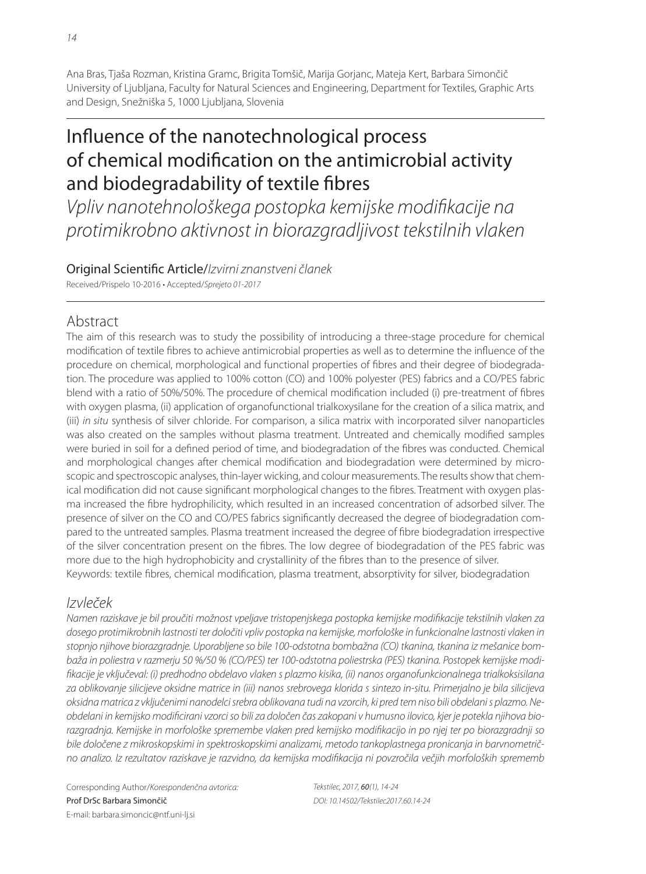Ana Bras, Tjaša Rozman, Kristina Gramc, Brigita Tomšič, Marija Gorjanc, Mateja Kert, Barbara Simončič University of Ljubljana, Faculty for Natural Sciences and Engineering, Department for Textiles, Graphic Arts and Design, Snežniška 5, 1000 Ljubljana, Slovenia

# Influence of the nanotechnological process of chemical modification on the antimicrobial activity and biodegradability of textile fibres

Vpliv nanotehnološkega postopka kemijske modifikacije na protimikrobno aktivnost in biorazgradljivost tekstilnih vlaken

# Original Scientific Article/Izvirni znanstveni članek

Received/Prispelo 10-2016 • Accepted/Sprejeto 01-2017

# Abstract

The aim of this research was to study the possibility of introducing a three-stage procedure for chemical modification of textile fibres to achieve antimicrobial properties as well as to determine the influence of the procedure on chemical, morphological and functional properties of fibres and their degree of biodegradation. The procedure was applied to 100% cotton (CO) and 100% polyester (PES) fabrics and a CO/PES fabric blend with a ratio of 50%/50%. The procedure of chemical modification included (i) pre-treatment of fibres with oxygen plasma, (ii) application of organofunctional trialkoxysilane for the creation of a silica matrix, and (iii) in situ synthesis of silver chloride. For comparison, a silica matrix with incorporated silver nanoparticles was also created on the samples without plasma treatment. Untreated and chemically modified samples were buried in soil for a defined period of time, and biodegradation of the fibres was conducted. Chemical and morphological changes after chemical modification and biodegradation were determined by microscopic and spectroscopic analyses, thin-layer wicking, and colour measurements. The results show that chemical modification did not cause significant morphological changes to the fibres. Treatment with oxygen plasma increased the fibre hydrophilicity, which resulted in an increased concentration of adsorbed silver. The presence of silver on the CO and CO/PES fabrics significantly decreased the degree of biodegradation compared to the untreated samples. Plasma treatment increased the degree of fibre biodegradation irrespective of the silver concentration present on the fibres. The low degree of biodegradation of the PES fabric was more due to the high hydrophobicity and crystallinity of the fibres than to the presence of silver. Keywords: textile fibres, chemical modification, plasma treatment, absorptivity for silver, biodegradation

# Izvleček

Namen raziskave je bil proučiti možnost vpeljave tristopenjskega postopka kemijske modifikacije tekstilnih vlaken za dosego protimikrobnih lastnosti ter določiti vpliv postopka na kemijske, morfološke in funkcionalne lastnosti vlaken in stopnjo njihove biorazgradnje. Uporabljene so bile 100-odstotna bombažna (CO) tkanina, tkanina iz mešanice bombaža in poliestra v razmerju 50 %/50 % (CO/PES) ter 100-odstotna poliestrska (PES) tkanina. Postopek kemijske modifikacije je vključeval: (i) predhodno obdelavo vlaken s plazmo kisika, (ii) nanos organofunkcionalnega trialkoksisilana za oblikovanje silicijeve oksidne matrice in (iii) nanos srebrovega klorida s sintezo in-situ. Primerjalno je bila silicijeva oksidna matrica z vključenimi nanodelci srebra oblikovana tudi na vzorcih, ki pred tem niso bili obdelani s plazmo. Neobdelani in kemijsko modificirani vzorci so bili za določen čas zakopani v humusno ilovico, kjer je potekla njihova biorazgradnja. Kemijske in morfološke spremembe vlaken pred kemijsko modifikacijo in po njej ter po biorazgradnji so bile določene z mikroskopskimi in spektroskopskimi analizami, metodo tankoplastnega pronicanja in barvnometrično analizo. Iz rezultatov raziskave je razvidno, da kemijska modifikacija ni povzročila večjih morfoloških sprememb

Corresponding Author/Korespondenčna avtorica: Prof DrSc Barbara Simončič E-mail: barbara.simoncic@ntf.uni-lj.si

Tekstilec, 2017, 60(1), 14-24 DOI: 10.14502/Tekstilec2017.60.14-24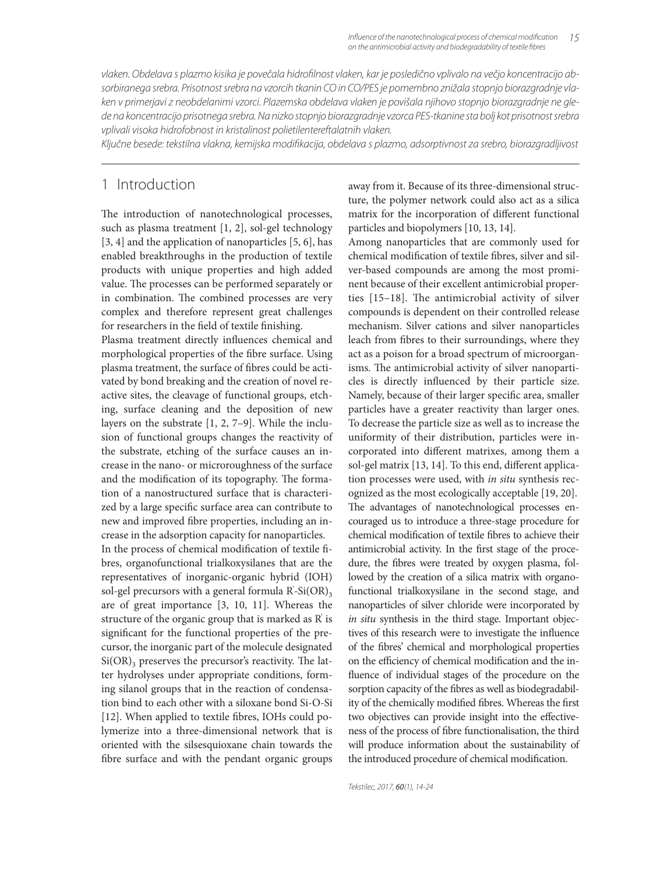vlaken. Obdelava s plazmo kisika je povečala hidrofilnost vlaken, kar je posledično vplivalo na večjo koncentracijo absorbiranega srebra. Prisotnost srebra na vzorcih tkanin CO in CO/PES je pomembno znižala stopnjo biorazgradnje vlaken v primerjavi z neobdelanimi vzorci. Plazemska obdelava vlaken je povišala njihovo stopnjo biorazgradnje ne glede na koncentracijo prisotnega srebra. Na nizko stopnjo biorazgradnje vzorca PES-tkanine sta bolj kot prisotnost srebra vplivali visoka hidrofobnost in kristalinost polietilentereftalatnih vlaken.

Ključne besede: tekstilna vlakna, kemijska modifi kacija, obdelava s plazmo, adsorptivnost za srebro, biorazgradljivost

# 1 Introduction

The introduction of nanotechnological processes, such as plasma treatment [1, 2], sol-gel technology [3, 4] and the application of nanoparticles [5, 6], has enabled breakthroughs in the production of textile products with unique properties and high added value. The processes can be performed separately or in combination. The combined processes are very complex and therefore represent great challenges for researchers in the field of textile finishing.

Plasma treatment directly influences chemical and morphological properties of the fibre surface. Using plasma treatment, the surface of fibres could be activated by bond breaking and the creation of novel reactive sites, the cleavage of functional groups, etching, surface cleaning and the deposition of new layers on the substrate [1, 2, 7–9]. While the inclusion of functional groups changes the reactivity of the substrate, etching of the surface causes an increase in the nano- or microroughness of the surface and the modification of its topography. The formation of a nanostructured surface that is characterized by a large specific surface area can contribute to new and improved fibre properties, including an increase in the adsorption capacity for nanoparticles.

In the process of chemical modification of textile fibres, organofunctional trialkoxysilanes that are the representatives of inorganic-organic hybrid (IOH) sol-gel precursors with a general formula  $\overrightarrow{R}$ -Si $\overrightarrow{OR}$ )<sub>3</sub> are of great importance [3, 10, 11]. Whereas the structure of the organic group that is marked as R' is significant for the functional properties of the precursor, the inorganic part of the molecule designated  $Si(OR)$ <sub>3</sub> preserves the precursor's reactivity. The latter hydrolyses under appropriate conditions, forming silanol groups that in the reaction of condensation bind to each other with a siloxane bond Si-O-Si [12]. When applied to textile fibres, IOHs could polymerize into a three-dimensional network that is oriented with the silsesquioxane chain towards the fibre surface and with the pendant organic groups away from it. Because of its three-dimensional structure, the polymer network could also act as a silica matrix for the incorporation of different functional particles and biopolymers [10, 13, 14].

Among nanoparticles that are commonly used for chemical modification of textile fibres, silver and silver-based compounds are among the most prominent because of their excellent antimicrobial properties  $[15-18]$ . The antimicrobial activity of silver compounds is dependent on their controlled release mechanism. Silver cations and silver nanoparticles leach from fibres to their surroundings, where they act as a poison for a broad spectrum of microorganisms. The antimicrobial activity of silver nanoparticles is directly influenced by their particle size. Namely, because of their larger specific area, smaller particles have a greater reactivity than larger ones. To decrease the particle size as well as to increase the uniformity of their distribution, particles were incorporated into different matrixes, among them a sol-gel matrix [13, 14]. To this end, different application processes were used, with *in situ* synthesis recognized as the most ecologically acceptable [19, 20]. The advantages of nanotechnological processes encouraged us to introduce a three-stage procedure for chemical modification of textile fibres to achieve their antimicrobial activity. In the first stage of the procedure, the fibres were treated by oxygen plasma, followed by the creation of a silica matrix with organofunctional trialkoxysilane in the second stage, and nanoparticles of silver chloride were incorporated by *in situ* synthesis in the third stage. Important objectives of this research were to investigate the influence of the fibres' chemical and morphological properties on the efficiency of chemical modification and the influence of individual stages of the procedure on the sorption capacity of the fibres as well as biodegradability of the chemically modified fibres. Whereas the first two objectives can provide insight into the effectiveness of the process of fibre functionalisation, the third will produce information about the sustainability of the introduced procedure of chemical modification.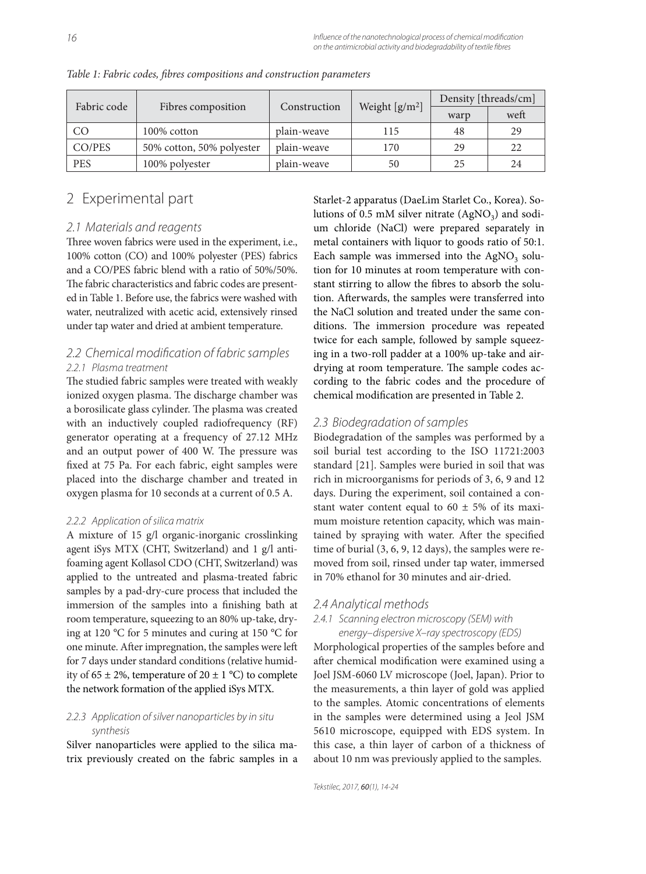| Fabric code | Fibres composition        | Construction | Weight $[g/m^2]$ | Density [threads/cm] |      |
|-------------|---------------------------|--------------|------------------|----------------------|------|
|             |                           |              |                  | warp                 | weft |
| CO          | 100% cotton               | plain-weave  | 115              | 48                   | 29   |
| CO/PES      | 50% cotton, 50% polyester | plain-weave  | 170              | 29                   | 22   |
| <b>PES</b>  | 100% polyester            | plain-weave  | 50               | 25                   | 24   |

*Table 1: Fabric codes, fi bres compositions and construction parameters*

# 2 Experimental part

#### 2.1 Materials and reagents

Three woven fabrics were used in the experiment, i.e., 100% cotton (CO) and 100% polyester (PES) fabrics and a CO/PES fabric blend with a ratio of 50%/50%. The fabric characteristics and fabric codes are presented in Table 1. Before use, the fabrics were washed with water, neutralized with acetic acid, extensively rinsed under tap water and dried at ambient temperature.

### 2.2 Chemical modification of fabric samples 2.2.1 Plasma treatment

The studied fabric samples were treated with weakly ionized oxygen plasma. The discharge chamber was a borosilicate glass cylinder. The plasma was created with an inductively coupled radiofrequency (RF) generator operating at a frequency of 27.12 MHz and an output power of 400 W. The pressure was fixed at 75 Pa. For each fabric, eight samples were placed into the discharge chamber and treated in oxygen plasma for 10 seconds at a current of 0.5 A.

#### 2.2.2 Application of silica matrix

A mixture of 15 g/l organic-inorganic crosslinking agent iSys MTX (CHT, Switzerland) and 1 g/l antifoaming agent Kollasol CDO (CHT, Switzerland) was applied to the untreated and plasma-treated fabric samples by a pad-dry-cure process that included the immersion of the samples into a finishing bath at room temperature, squeezing to an 80% up-take, drying at 120 °C for 5 minutes and curing at 150 °C for one minute. After impregnation, the samples were left for 7 days under standard conditions (relative humidity of 65  $\pm$  2%, temperature of 20  $\pm$  1 °C) to complete the network formation of the applied iSys MTX.

### 2.2.3 Application of silver nanoparticles by in situ synthesis

Silver nanoparticles were applied to the silica matrix previously created on the fabric samples in a Starlet-2 apparatus (DaeLim Starlet Co., Korea). Solutions of 0.5 mM silver nitrate  $(AgNO<sub>3</sub>)$  and sodium chloride (NaCl) were prepared separately in metal containers with liquor to goods ratio of 50:1. Each sample was immersed into the  $AgNO<sub>3</sub>$  solution for 10 minutes at room temperature with constant stirring to allow the fibres to absorb the solution. Afterwards, the samples were transferred into the NaCl solution and treated under the same conditions. The immersion procedure was repeated twice for each sample, followed by sample squeezing in a two-roll padder at a 100% up-take and airdrying at room temperature. The sample codes according to the fabric codes and the procedure of chemical modification are presented in Table 2.

### 2.3 Biodegradation of samples

Biodegradation of the samples was performed by a soil burial test according to the ISO 11721:2003 standard [21]. Samples were buried in soil that was rich in microorganisms for periods of 3, 6, 9 and 12 days. During the experiment, soil contained a constant water content equal to  $60 \pm 5\%$  of its maximum moisture retention capacity, which was maintained by spraying with water. After the specified time of burial (3, 6, 9, 12 days), the samples were removed from soil, rinsed under tap water, immersed in 70% ethanol for 30 minutes and air-dried.

### 2.4 Analytical methods

#### 2.4.1 Scanning electron microscopy (SEM) with energy–dispersive X–ray spectroscopy (EDS)

Morphological properties of the samples before and after chemical modification were examined using a Joel JSM-6060 LV microscope (Joel, Japan). Prior to the measurements, a thin layer of gold was applied to the samples. Atomic concentrations of elements in the samples were determined using a Jeol JSM 5610 microscope, equipped with EDS system. In this case, a thin layer of carbon of a thickness of about 10 nm was previously applied to the samples.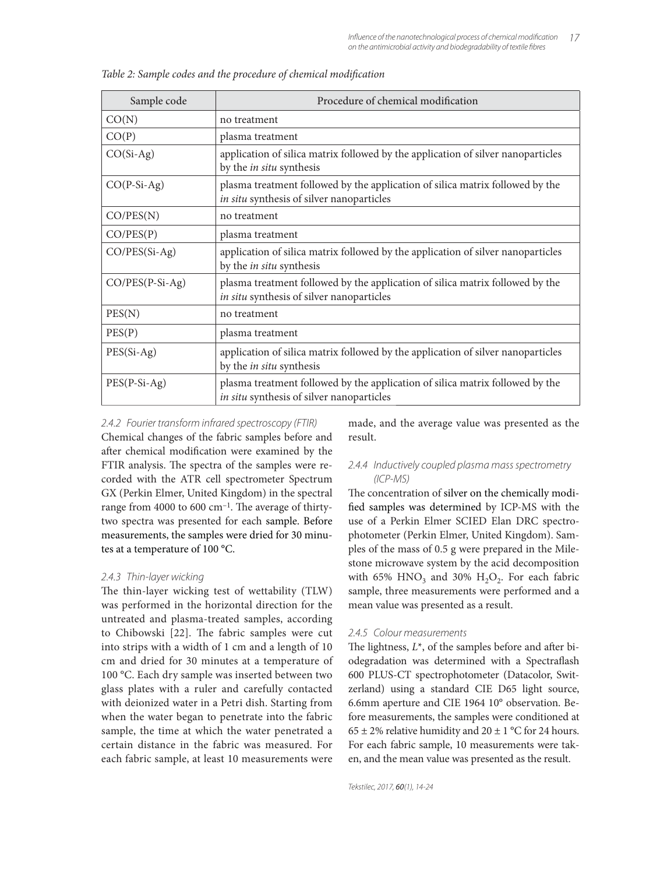| Sample code       | Procedure of chemical modification                                                                                         |  |
|-------------------|----------------------------------------------------------------------------------------------------------------------------|--|
| CO(N)             | no treatment                                                                                                               |  |
| CO(P)             | plasma treatment                                                                                                           |  |
| $CO(Si-Ag)$       | application of silica matrix followed by the application of silver nanoparticles<br>by the <i>in situ</i> synthesis        |  |
| $CO(P-Si-Ag)$     | plasma treatment followed by the application of silica matrix followed by the<br>in situ synthesis of silver nanoparticles |  |
| CO/PES(N)         | no treatment                                                                                                               |  |
| CO/PES(P)         | plasma treatment                                                                                                           |  |
| $CO/PES(Si-Ag)$   | application of silica matrix followed by the application of silver nanoparticles<br>by the <i>in situ</i> synthesis        |  |
| $CO/PES(P-Si-Ag)$ | plasma treatment followed by the application of silica matrix followed by the<br>in situ synthesis of silver nanoparticles |  |
| PES(N)            | no treatment                                                                                                               |  |
| PES(P)            | plasma treatment                                                                                                           |  |
| $PES(Si-Ag)$      | application of silica matrix followed by the application of silver nanoparticles<br>by the <i>in situ</i> synthesis        |  |
| $PES(P-Si-Ag)$    | plasma treatment followed by the application of silica matrix followed by the<br>in situ synthesis of silver nanoparticles |  |

Table 2: Sample codes and the procedure of chemical modification

#### 2.4.2 Fourier transform infrared spectroscopy (FTIR)

Chemical changes of the fabric samples before and after chemical modification were examined by the FTIR analysis. The spectra of the samples were recorded with the ATR cell spectrometer Spectrum GX (Perkin Elmer, United Kingdom) in the spectral range from 4000 to 600  $cm^{-1}$ . The average of thirtytwo spectra was presented for each sample. Before measurements, the samples were dried for 30 minutes at a temperature of 100 °C.

#### 2.4.3 Thin-layer wicking

The thin-layer wicking test of wettability (TLW) was performed in the horizontal direction for the untreated and plasma-treated samples, according to Chibowski [22]. The fabric samples were cut into strips with a width of 1 cm and a length of 10 cm and dried for 30 minutes at a temperature of 100 °C. Each dry sample was inserted between two glass plates with a ruler and carefully contacted with deionized water in a Petri dish. Starting from when the water began to penetrate into the fabric sample, the time at which the water penetrated a certain distance in the fabric was measured. For each fabric sample, at least 10 measurements were

made, and the average value was presented as the result.

### 2.4.4 Inductively coupled plasma mass spectrometry (ICP-MS)

The concentration of silver on the chemically modified samples was determined by ICP-MS with the use of a Perkin Elmer SCIED Elan DRC spectrophotometer (Perkin Elmer, United Kingdom). Samples of the mass of 0.5 g were prepared in the Milestone microwave system by the acid decomposition with 65%  $HNO<sub>3</sub>$  and 30%  $H<sub>2</sub>O<sub>2</sub>$ . For each fabric sample, three measurements were performed and a mean value was presented as a result.

#### 2.4.5 Colour measurements

The lightness,  $L^*$ , of the samples before and after biodegradation was determined with a Spectraflash 600 PLUS-CT spectrophotometer (Datacolor, Switzerland) using a standard CIE D65 light source, 6.6mm aperture and CIE 1964 10° observation. Before measurements, the samples were conditioned at  $65 \pm 2\%$  relative humidity and  $20 \pm 1\degree$ C for 24 hours. For each fabric sample, 10 measurements were taken, and the mean value was presented as the result.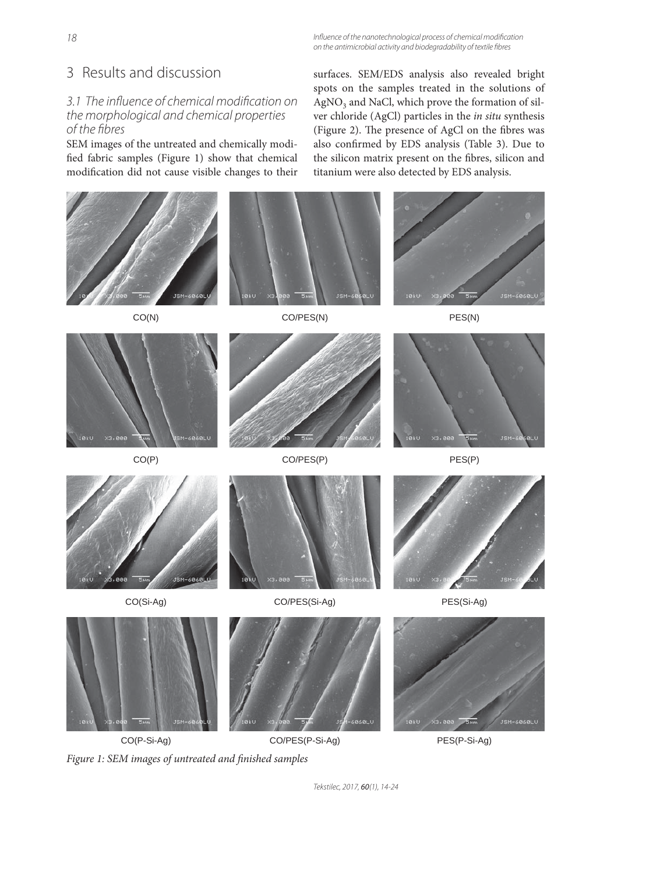18 Influence of the nanotechnological process of chemical modification on the antimicrobial activity and biodegradability of textile fibres

# 3 Results and discussion

## 3.1 The influence of chemical modification on the morphological and chemical properties of the fibres

SEM images of the untreated and chemically modified fabric samples (Figure 1) show that chemical modification did not cause visible changes to their surfaces. SEM/EDS analysis also revealed bright spots on the samples treated in the solutions of  $AgNO<sub>3</sub>$  and NaCl, which prove the formation of silver chloride (AgCl) particles in the *in situ* synthesis (Figure 2). The presence of AgCl on the fibres was also confirmed by EDS analysis (Table 3). Due to the silicon matrix present on the fibres, silicon and titanium were also detected by EDS analysis.



Figure 1: SEM images of untreated and finished samples

Tekstilec, 2017, 60(1), 14-24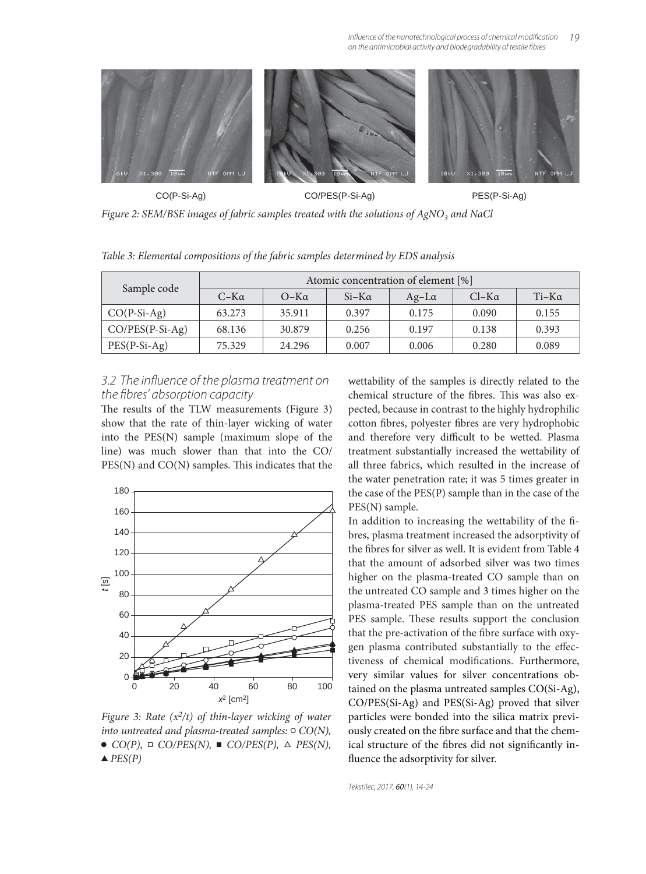

*Figure 2: SEM/BSE images of fabric samples treated with the solutions of AgNO<sub>3</sub> and NaCl* 

*Table 3: Elemental compositions of the fabric samples determined by EDS analysis*

|                   | Atomic concentration of element [%] |             |              |              |              |              |
|-------------------|-------------------------------------|-------------|--------------|--------------|--------------|--------------|
| Sample code       | $C-K\alpha$                         | $O-K\alpha$ | $Si-K\alpha$ | $Ag-L\alpha$ | $Cl-K\alpha$ | $Ti-K\alpha$ |
| $CO(P-Si-Ag)$     | 63.273                              | 35.911      | 0.397        | 0.175        | 0.090        | 0.155        |
| $CO/PES(P-Si-Ag)$ | 68.136                              | 30.879      | 0.256        | 0.197        | 0.138        | 0.393        |
| $PES(P-Si-Ag)$    | 75.329                              | 24.296      | 0.007        | 0.006        | 0.280        | 0.089        |

### 3.2 The influence of the plasma treatment on the fibres' absorption capacity

The results of the TLW measurements (Figure 3) show that the rate of thin-layer wicking of water into the PES(N) sample (maximum slope of the line) was much slower than that into the CO/  $PES(N)$  and  $CO(N)$  samples. This indicates that the



*Figure 3: Rate (x<sup>2</sup>/t) of thin-layer wicking of water into untreated and plasma-treated samples:*  $\circ$   $CO(N)$ ,  $\bullet$  *CO(P),*  $\Box$  *CO/PES(N),*  $\blacksquare$  *CO/PES(P),*  $\triangle$  *PES(N),*  $\triangle$  *PES(P)* 

wettability of the samples is directly related to the chemical structure of the fibres. This was also expected, because in contrast to the highly hydrophilic cotton fibres, polyester fibres are very hydrophobic and therefore very difficult to be wetted. Plasma treatment substantially increased the wettability of all three fabrics, which resulted in the increase of the water penetration rate; it was 5 times greater in the case of the PES(P) sample than in the case of the PES(N) sample.

In addition to increasing the wettability of the fibres, plasma treatment increased the adsorptivity of the fibres for silver as well. It is evident from Table 4 that the amount of adsorbed silver was two times higher on the plasma-treated CO sample than on the untreated CO sample and 3 times higher on the plasma-treated PES sample than on the untreated PES sample. These results support the conclusion that the pre-activation of the fibre surface with oxygen plasma contributed substantially to the effectiveness of chemical modifications. Furthermore, very similar values for silver concentrations obtained on the plasma untreated samples CO(Si-Ag), CO/PES(Si-Ag) and PES(Si-Ag) proved that silver particles were bonded into the silica matrix previously created on the fibre surface and that the chemical structure of the fibres did not significantly influence the adsorptivity for silver.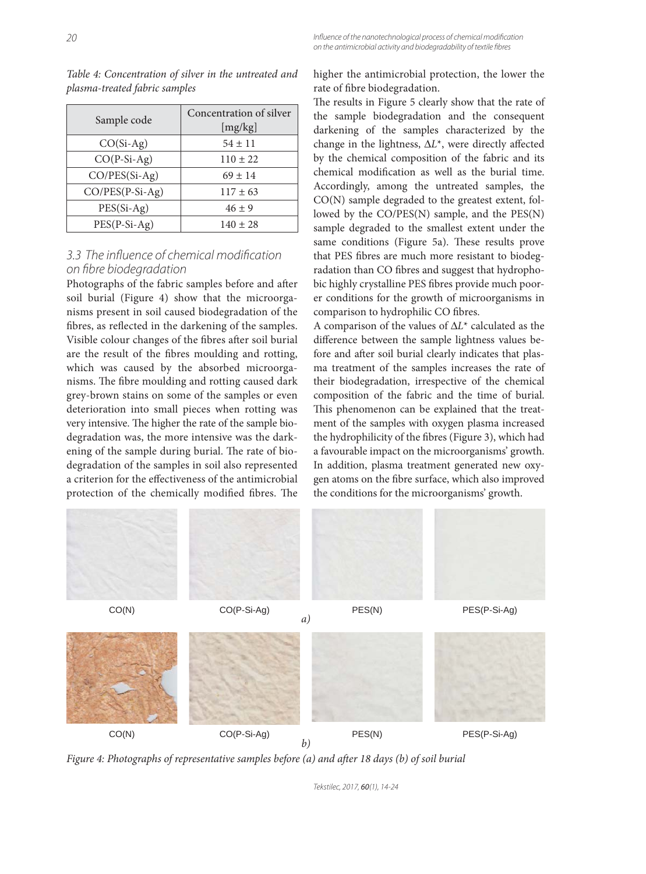| Sample code     | Concentration of silver<br>[mg/kg] |  |  |
|-----------------|------------------------------------|--|--|
| $CO(Si-Ag)$     | $54 \pm 11$                        |  |  |
| $CO(P-Si-Ag)$   | $110 \pm 22$                       |  |  |
| $CO/PES(Si-Ag)$ | $69 \pm 14$                        |  |  |
| CO/PES(P-Si-Ag) | $117 \pm 63$                       |  |  |
| $PES(Si-Ag)$    | $46 \pm 9$                         |  |  |
| $PES(P-Si-Ag)$  | $140 \pm 28$                       |  |  |

*Table 4: Concentration of silver in the untreated and plasma-treated fabric samples*

## 3.3 The influence of chemical modification on fibre biodearadation

Photographs of the fabric samples before and after soil burial (Figure 4) show that the microorganisms present in soil caused biodegradation of the fibres, as reflected in the darkening of the samples. Visible colour changes of the fibres after soil burial are the result of the fibres moulding and rotting, which was caused by the absorbed microorganisms. The fibre moulding and rotting caused dark grey-brown stains on some of the samples or even deterioration into small pieces when rotting was very intensive. The higher the rate of the sample biodegradation was, the more intensive was the darkening of the sample during burial. The rate of biodegradation of the samples in soil also represented a criterion for the effectiveness of the antimicrobial protection of the chemically modified fibres. The higher the antimicrobial protection, the lower the rate of fibre biodegradation.

The results in Figure 5 clearly show that the rate of the sample biodegradation and the consequent darkening of the samples characterized by the change in the lightness,  $ΔL<sup>*</sup>$ , were directly affected by the chemical composition of the fabric and its chemical modification as well as the burial time. Accordingly, among the untreated samples, the CO(N) sample degraded to the greatest extent, followed by the CO/PES(N) sample, and the PES(N) sample degraded to the smallest extent under the same conditions (Figure 5a). These results prove that PES fibres are much more resistant to biodegradation than CO fibres and suggest that hydrophobic highly crystalline PES fibres provide much poorer conditions for the growth of microorganisms in comparison to hydrophilic CO fibres.

A comparison of the values of Δ*L*\* calculated as the difference between the sample lightness values before and after soil burial clearly indicates that plasma treatment of the samples increases the rate of their biodegradation, irrespective of the chemical composition of the fabric and the time of burial. This phenomenon can be explained that the treatment of the samples with oxygen plasma increased the hydrophilicity of the fibres (Figure 3), which had a favourable impact on the microorganisms' growth. In addition, plasma treatment generated new oxygen atoms on the fibre surface, which also improved the conditions for the microorganisms' growth.



Figure 4: Photographs of representative samples before (a) and after 18 days (b) of soil burial

Tekstilec, 2017, 60(1), 14-24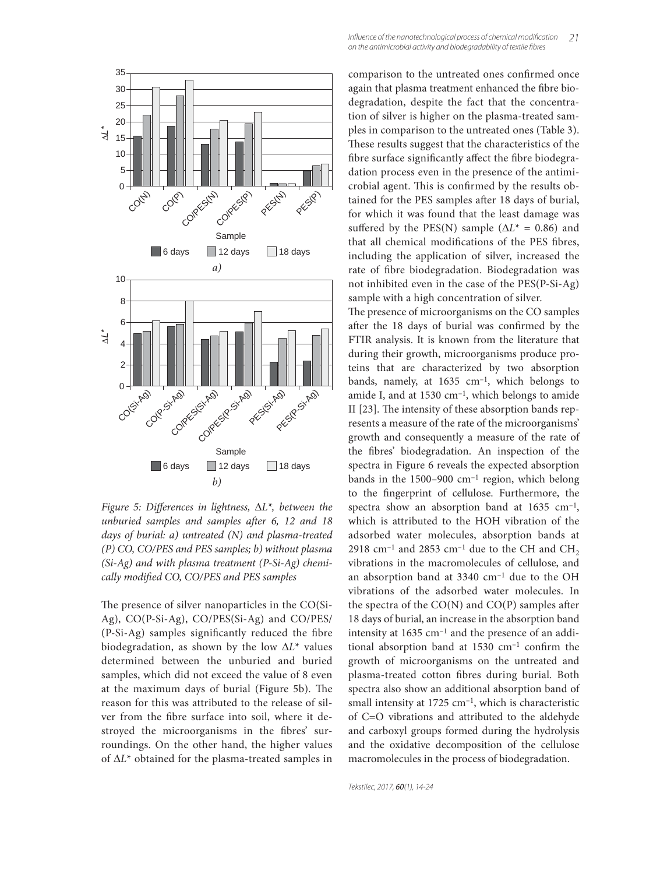

*Figure 5: Differences in lightness,*  $ΔL^*$ *, between the unburied samples and samples after 6, 12 and 18 days of burial: a) untreated (N) and plasma-treated (P) CO, CO/PES and PES samples; b) without plasma (Si-Ag) and with plasma treatment (P-Si-Ag) chemi*cally modified CO, CO/PES and PES samples

The presence of silver nanoparticles in the CO(Si-Ag), CO(P-Si-Ag), CO/PES(Si-Ag) and CO/PES/  $(P-Si-Ag)$  samples significantly reduced the fibre biodegradation, as shown by the low Δ*L*\* values determined between the unburied and buried samples, which did not exceed the value of 8 even at the maximum days of burial (Figure 5b). The reason for this was attributed to the release of silver from the fibre surface into soil, where it destroyed the microorganisms in the fibres' surroundings. On the other hand, the higher values of Δ*L*\* obtained for the plasma-treated samples in comparison to the untreated ones confirmed once again that plasma treatment enhanced the fibre biodegradation, despite the fact that the concentration of silver is higher on the plasma-treated samples in comparison to the untreated ones (Table 3). These results suggest that the characteristics of the fibre surface significantly affect the fibre biodegradation process even in the presence of the antimicrobial agent. This is confirmed by the results obtained for the PES samples after 18 days of burial, for which it was found that the least damage was suffered by the PES(N) sample ( $\Delta L^* = 0.86$ ) and that all chemical modifications of the PES fibres, including the application of silver, increased the rate of fibre biodegradation. Biodegradation was not inhibited even in the case of the PES(P-Si-Ag) sample with a high concentration of silver.

The presence of microorganisms on the CO samples after the 18 days of burial was confirmed by the FTIR analysis. It is known from the literature that during their growth, microorganisms produce proteins that are characterized by two absorption bands, namely, at  $1635 \text{ cm}^{-1}$ , which belongs to amide I, and at  $1530 \text{ cm}^{-1}$ , which belongs to amide II [23]. The intensity of these absorption bands represents a measure of the rate of the microorganisms' growth and consequently a measure of the rate of the fibres' biodegradation. An inspection of the spectra in Figure 6 reveals the expected absorption bands in the  $1500-900$  cm<sup>-1</sup> region, which belong to the fingerprint of cellulose. Furthermore, the spectra show an absorption band at  $1635 \text{ cm}^{-1}$ , which is attributed to the HOH vibration of the adsorbed water molecules, absorption bands at 2918 cm<sup>-1</sup> and 2853 cm<sup>-1</sup> due to the CH and CH<sub>2</sub> vibrations in the macromolecules of cellulose, and an absorption band at 3340 cm–1 due to the OH vibrations of the adsorbed water molecules. In the spectra of the  $CO(N)$  and  $CO(P)$  samples after 18 days of burial, an increase in the absorption band intensity at  $1635 \text{ cm}^{-1}$  and the presence of an additional absorption band at  $1530 \text{ cm}^{-1}$  confirm the growth of microorganisms on the untreated and plasma-treated cotton fibres during burial. Both spectra also show an additional absorption band of small intensity at  $1725 \text{ cm}^{-1}$ , which is characteristic of C=O vibrations and attributed to the aldehyde and carboxyl groups formed during the hydrolysis and the oxidative decomposition of the cellulose macromolecules in the process of biodegradation.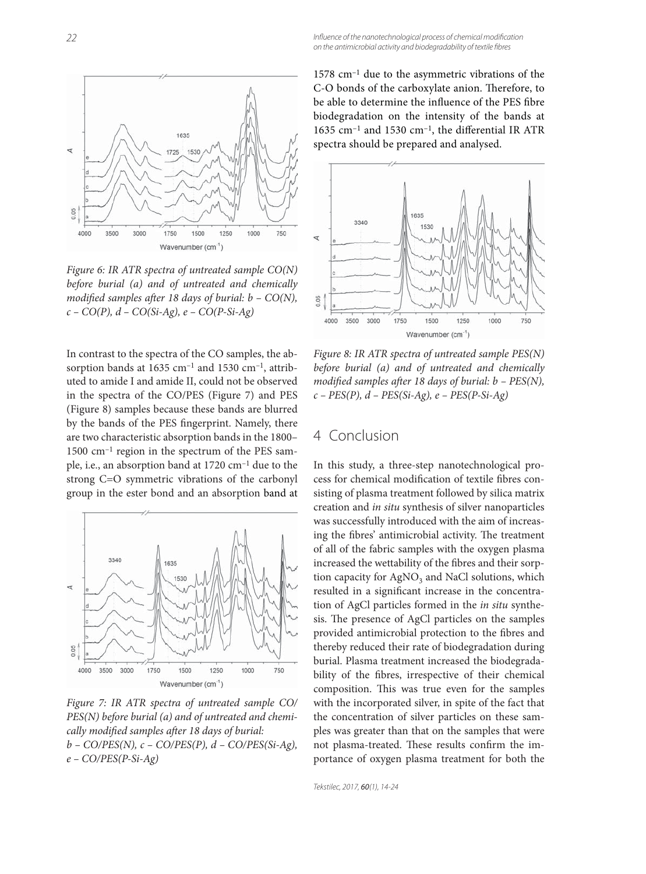

*Figure 6: IR ATR spectra of untreated sample CO(N) before burial (a) and of untreated and chemically modified samples after 18 days of burial: b - CO(N), c – CO(P), d – CO(Si-Ag), e – CO(P-Si-Ag)*

In contrast to the spectra of the CO samples, the absorption bands at  $1635$  cm<sup>-1</sup> and  $1530$  cm<sup>-1</sup>, attributed to amide I and amide II, could not be observed in the spectra of the CO/PES (Figure 7) and PES (Figure 8) samples because these bands are blurred by the bands of the PES fingerprint. Namely, there are two characteristic absorption bands in the 1800– 1500 cm–1 region in the spectrum of the PES sample, i.e., an absorption band at 1720 cm–1 due to the strong C=O symmetric vibrations of the carbonyl group in the ester bond and an absorption band at



*Figure 7: IR ATR spectra of untreated sample CO/ PES(N) before burial (a) and of untreated and chemi*cally modified samples after 18 days of burial: *b – CO/PES(N), c – CO/PES(P), d – CO/PES(Si-Ag), e – CO/PES(P-Si-Ag)*

1578 cm–1 due to the asymmetric vibrations of the C-O bonds of the carboxylate anion. Therefore, to be able to determine the influence of the PES fibre biodegradation on the intensity of the bands at 1635 cm<sup>-1</sup> and 1530 cm<sup>-1</sup>, the differential IR ATR spectra should be prepared and analysed.



*Figure 8: IR ATR spectra of untreated sample PES(N) before burial (a) and of untreated and chemically modified samples after 18 days of burial: b - PES(N), c – PES(P), d – PES(Si-Ag), e – PES(P-Si-Ag)*

# 4 Conclusion

In this study, a three-step nanotechnological process for chemical modification of textile fibres consisting of plasma treatment followed by silica matrix creation and *in situ* synthesis of silver nanoparticles was successfully introduced with the aim of increasing the fibres' antimicrobial activity. The treatment of all of the fabric samples with the oxygen plasma increased the wettability of the fibres and their sorption capacity for AgNO<sub>3</sub> and NaCl solutions, which resulted in a significant increase in the concentration of AgCl particles formed in the *in situ* synthesis. The presence of AgCl particles on the samples provided antimicrobial protection to the fibres and thereby reduced their rate of biodegradation during burial. Plasma treatment increased the biodegradability of the fibres, irrespective of their chemical composition. This was true even for the samples with the incorporated silver, in spite of the fact that the concentration of silver particles on these samples was greater than that on the samples that were not plasma-treated. These results confirm the importance of oxygen plasma treatment for both the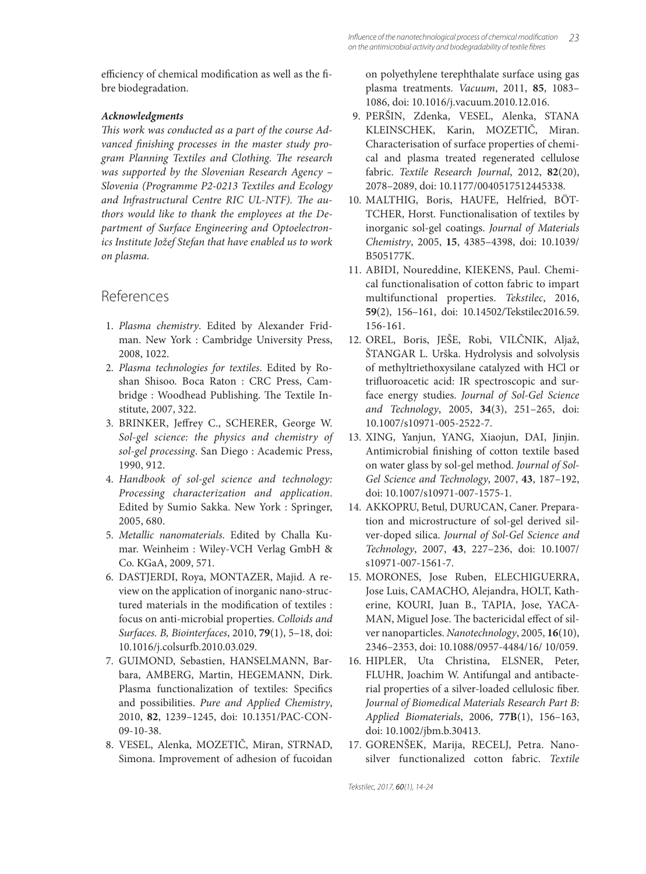efficiency of chemical modification as well as the fibre biodegradation.

#### *Acknowledgments*

This work was conducted as a part of the course Advanced finishing processes in the master study program Planning Textiles and Clothing. The research *was supported by the Slovenian Research Agency – Slovenia (Programme P2-0213 Textiles and Ecology*  and Infrastructural Centre RIC UL-NTF). The au*thors would like to thank the employees at the Department of Surface Engineering and Optoelectronics Institute Jožef Stefan that have enabled us to work on plasma.*

# References

- 1. *Plasma chemistry*. Edited by Alexander Fridman. New York : Cambridge University Press, 2008, 1022.
- 2. *Plasma technologies for textiles*. Edited by Roshan Shisoo. Boca Raton : CRC Press, Cambridge : Woodhead Publishing. The Textile Institute, 2007, 322.
- 3. BRINKER, Jeffrey C., SCHERER, George W. *Sol-gel science: the physics and chemistry of sol-gel processing*. San Diego : Academic Press, 1990, 912.
- 4. *Handbook of sol-gel science and technology: Processing characterization and application*. Edited by Sumio Sakka. New York : Springer, 2005, 680.
- 5. *Metallic nanomaterials*. Edited by Challa Kumar. Weinheim : Wiley-VCH Verlag GmbH & Co. KGaA, 2009, 571.
- 6. DASTJERDI, Roya, MONTAZER, Majid. A review on the application of inorganic nano-structured materials in the modification of textiles : focus on anti-microbial properties. *Colloids and Surfaces. B, Biointerfaces*, 2010, **79**(1), 5–18, doi: 10.1016/j.colsurfb .2010.03.029.
- 7. GUIMOND, Sebastien, HANSELMANN, Barbara, AMBERG, Martin, HEGEMANN, Dirk. Plasma functionalization of textiles: Specifics and possibilities. *Pure and Applied Chemistry*, 2010, **82**, 1239–1245, doi: 10.1351/PAC-CON-09-10-38.
- 8. VESEL, Alenka, MOZETIČ, Miran, STRNAD, Simona. Improvement of adhesion of fucoidan

on polyethylene terephthalate surface using gas plasma treatments. *Vacuum*, 2011, **85**, 1083– 1086, doi: 10.1016/j.vacuum.2010.12.016.

- 9. PERŠIN, Zdenka, VESEL, Alenka, STANA KLEINSCHEK, Karin, MOZETIČ, Miran. Characterisation of surface properties of chemical and plasma treated regenerated cellulose fabric. *Textile Research Journal*, 2012, **82**(20), 2078–2089, doi: 10.1177/0040517512445338.
- 10. MALTHIG, Boris, HAUFE, Helfried, BÖT-TCHER, Horst. Functionalisation of textiles by inorganic sol-gel coatings. *Journal of Materials Chemistry*, 2005, **15**, 4385–4398, doi: 10.1039/ B505177K.
- 11. ABIDI, Noureddine, KIEKENS, Paul. Chemical functionalisation of cotton fabric to impart multifunctional properties. *Tekstilec*, 2016, **59**(2), 156–161, doi: 10.14502/Tekstilec2016.59. 156-161.
- 12. OREL, Boris, JEŠE, Robi, VILČNIK, Aljaž, ŠTANGAR L. Urška. Hydrolysis and solvolysis of methyltriethoxysilane catalyzed with HCl or trifluoroacetic acid: IR spectroscopic and surface energy studies. *Journal of Sol-Gel Science and Technology*, 2005, **34**(3), 251–265, doi: 10.1007/s10971-005-2522-7.
- 13. XING, Yanjun, YANG, Xiaojun, DAI, Jinjin. Antimicrobial finishing of cotton textile based on water glass by sol-gel method. *Journal of Sol-Gel Science and Technology*, 2007, **43**, 187–192, doi: 10.1007/s10971-007-1575-1.
- 14. AKKOPRU, Betul, DURUCAN, Caner. Preparation and microstructure of sol-gel derived silver-doped silica. *Journal of Sol-Gel Science and Technology*, 2007, **43**, 227–236, doi: 10.1007/ s10971-007-1561-7.
- 15. MORONES, Jose Ruben, ELECHIGUERRA, Jose Luis, CAMACHO, Alejandra, HOLT, Katherine, KOURI, Juan B., TAPIA, Jose, YACA-MAN, Miguel Jose. The bactericidal effect of silver nanoparticles. *Nanotechnology*, 2005, **16**(10), 2346–2353, doi: 10.1088/0957-4484/16/ 10/059.
- 16. HIPLER, Uta Christina, ELSNER, Peter, FLUHR, Joachim W. Antifungal and antibacterial properties of a silver-loaded cellulosic fiber. *Journal of Biomedical Materials Research Part B: Applied Biomaterials*, 2006, **77B**(1), 156–163, doi: 10.1002/jbm.b.30413.
- 17. GORENŠEK, Marija, RECELJ, Petra. Nanosilver functionalized cotton fabric. *Textile*